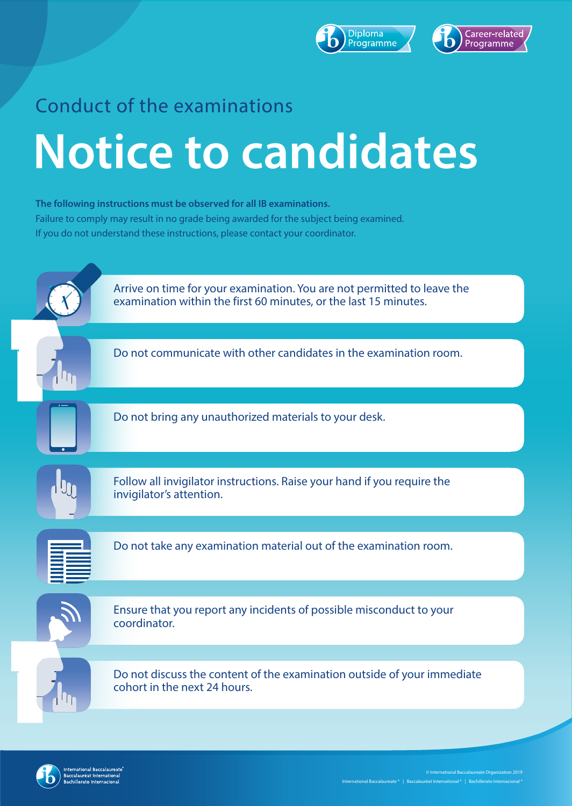



## Conduct of the examinations

## **Notice to candidates**

**The following instructions must be observed for all IB examinations.**  Failure to comply may result in no grade being awarded for the subject being examined. If you do not understand these instructions, please contact your coordinator.



Arrive on time for your examination. You are not permitted to leave the examination within the first 60 minutes, or the last 15 minutes.

Do not communicate with other candidates in the examination room.

Do not bring any unauthorized materials to your desk.



Follow all invigilator instructions. Raise your hand if you require the invigilator's attention.



Do not take any examination material out of the examination room.



Ensure that you report any incidents of possible misconduct to your coordinator.

Do not discuss the content of the examination outside of your immediate cohort in the next 24 hours.



© International Baccalaureate Organization 2019

International Baccalaureate <sup>®</sup> | Baccalauréat International ® | Bachillerato Internacional ®